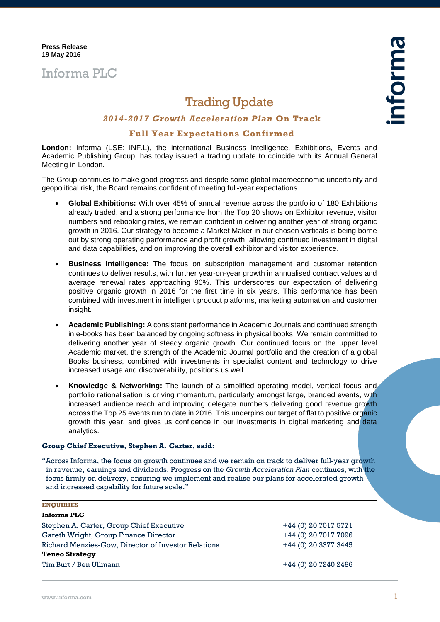# Informa PLC

## Trading Update

## *2014-2017 Growth Acceleration Plan* **On Track**

### **Full Year Expectations Confirmed**

**London:** Informa (LSE: INF.L), the international Business Intelligence, Exhibitions, Events and Academic Publishing Group, has today issued a trading update to coincide with its Annual General Meeting in London.

The Group continues to make good progress and despite some global macroeconomic uncertainty and geopolitical risk, the Board remains confident of meeting full-year expectations.

- **Global Exhibitions:** With over 45% of annual revenue across the portfolio of 180 Exhibitions already traded, and a strong performance from the Top 20 shows on Exhibitor revenue, visitor numbers and rebooking rates, we remain confident in delivering another year of strong organic growth in 2016. Our strategy to become a Market Maker in our chosen verticals is being borne out by strong operating performance and profit growth, allowing continued investment in digital and data capabilities, and on improving the overall exhibitor and visitor experience.
- **Business Intelligence:** The focus on subscription management and customer retention continues to deliver results, with further year-on-year growth in annualised contract values and average renewal rates approaching 90%. This underscores our expectation of delivering positive organic growth in 2016 for the first time in six years. This performance has been combined with investment in intelligent product platforms, marketing automation and customer insight.
- **Academic Publishing:** A consistent performance in Academic Journals and continued strength in e-books has been balanced by ongoing softness in physical books. We remain committed to delivering another year of steady organic growth. Our continued focus on the upper level Academic market, the strength of the Academic Journal portfolio and the creation of a global Books business, combined with investments in specialist content and technology to drive increased usage and discoverability, positions us well.
- **Knowledge & Networking:** The launch of a simplified operating model, vertical focus and portfolio rationalisation is driving momentum, particularly amongst large, branded events, with increased audience reach and improving delegate numbers delivering good revenue growth across the Top 25 events run to date in 2016. This underpins our target of flat to positive organic growth this year, and gives us confidence in our investments in digital marketing and data analytics.

#### **Group Chief Executive, Stephen A. Carter, said:**

"Across Informa, the focus on growth continues and we remain on track to deliver full-year growth in revenue, earnings and dividends. Progress on the *Growth Acceleration Plan* continues, with the focus firmly on delivery, ensuring we implement and realise our plans for accelerated growth and increased capability for future scale."

#### **ENQUIRIES**

| Informa PLC                                         |                      |
|-----------------------------------------------------|----------------------|
| Stephen A. Carter, Group Chief Executive            | +44 (0) 20 7017 5771 |
| Gareth Wright, Group Finance Director               | +44 (0) 20 7017 7096 |
| Richard Menzies-Gow, Director of Investor Relations | +44 (0) 20 3377 3445 |
| <b>Teneo Strategy</b>                               |                      |
| Tim Burt / Ben Ullmann                              | +44 (0) 20 7240 2486 |